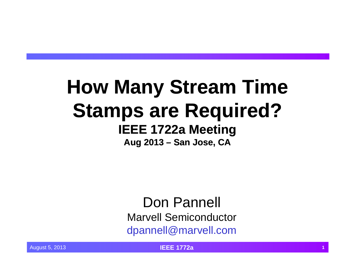# **How Many Stream Time Stamps are Required? IEEE 1722a Meeting**

**Aug 2013 – San Jose, CA Jose,** 

Don Pannell Marvell Semiconductordpannell@marvell.com

August 5, 2013 **IEEE 1772a <sup>1</sup>**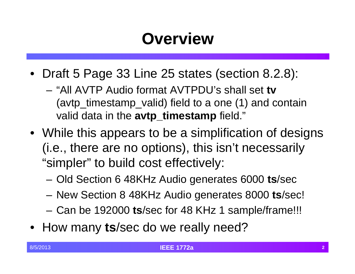# **Overview**

- Draft 5 Page 33 Line 25 states (section 8.2.8):
	- "All AVTP Audio format AVTPDU's shall set **tv** (avtp\_timestamp\_valid) field to a one (1) and contain valid data in the **avtp\_timestamp** field."
- While this appears to be a simplification of designs  $(i.e., there are no options), this isn't necessarily$ "simpler" to build cost effectively:
	- –Old Section 6 48KHz Audio generates 6000 **ts**/sec
	- –New Section 8 48KHz Audio generates 8000 **ts**/sec!
	- –Can be 192000 **ts**/sec for 48 KHz 1 sample/frame!!!
- How many ts/sec do we really need?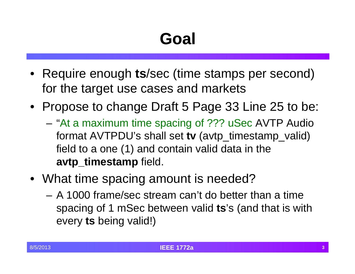# **Goal**

- Require enough **ts**/sec (time stamps per second) for the target use cases and markets
- Propose to change Draft 5 Page 33 Line 25 to be:
	- "At a maximum time spacing of ??? uSec AVTP Audio format AVTPDU's shall set **tv** (avtp\_timestamp\_valid) field to a one  $(1)$  and contain valid data in the **avtp\_timestamp** field.
- What time spacing amount is needed?
	- A 1000 frame/sec stream can't do better than a time spacing of 1 mSec between valid **ts**'s (and that is with every **ts** being valid!)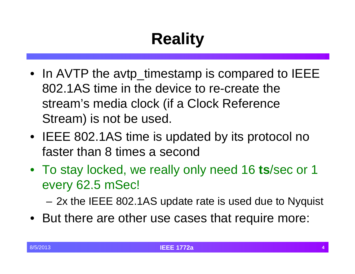# **Reality**

- In AVTP the avtp\_timestamp is compared to IEEE 802.1AS time in the device to re-create the stream's media clock (if a Clock Reference Stream) is not be used.
- IEEE 802.1AS time is updated by its protocol no faster than 8 times a second
- To stay locked, we really only need 16 **ts**/sec or 1 every 62.5 mSec!

2x the IEEE 802.1AS update rate is used due to Nyquist

• But there are other use cases that require more: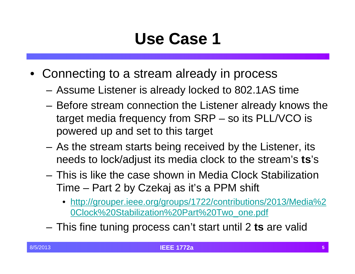## **Use Case 1**

- Connecting to a stream already in process
	- Assume Listener is already locked to 802.1AS time
	- Before stream connection the Listener already knows the target media frequency from SRP – so its PLL/VCO is powered up and set to this target
	- As the stream starts being received by the Listener, its needs to lock/adjust its media clock to the stream's **ts**'s
	- This is like the case shown in Media Clock Stabilization Time – Part 2 by Czekaj as it's a PPM shift
		- http://grouper.ieee.org/groups/1722/contributions/2013/Media%2 0Clock%20Stabilization%20Part%20Two\_one.pdf
	- –– This fine tuning process can't start until 2 **ts** are valid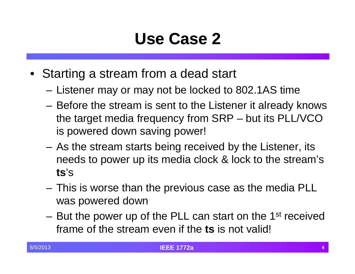### **Use Case 2**

- Starting a stream from a dead start
	- Listener may or may not be locked to 802.1AS time
	- Before the stream is sent to the Listener it already knows the target media frequency from SRP – but its PLL/VCO is powered down saving power!
	- As the stream starts being received by the Listener, its needs to power up its media clock & lock to the stream's **ts**'s
	- $-$  This is worse than the previous case as the media PLL  $\,$ was powered down
	- –But the power up of the PLL can start on the 1<sup>st</sup> received frame of the stream even if the **ts** is not valid!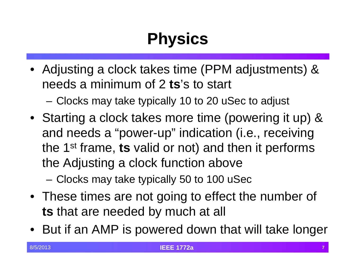# **Physics**

• Adjusting a clock takes time (PPM adjustments) & needs a minimum of 2 **ts**'s to start

–Clocks may take typically 10 to 20 uSec to adjust

• Starting <sup>a</sup> clock takes more time (powering it up) & and needs a "power-up" indication (i.e., receiving the 1<sup>st</sup> frame, **ts** valid or not) and then it performs the Adjusting a clock function above

–Clocks may take typically 50 to 100 uSec

- These times are not going to effect the number of **ts** that are needed by much at all
- But if an AMP is powered down that will take longer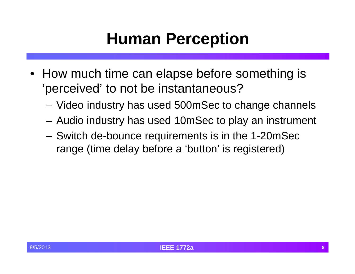#### **Human Perception**

- How much time can elapse before something is 'perceived' to not be instantaneous?
	- Video industry has used 500mSec to change channels
	- Audio industry has used 10mSec to play an instrument
	- Switch de-bounce requirements is in the 1-20mSec range (time delay before a 'button' is registered)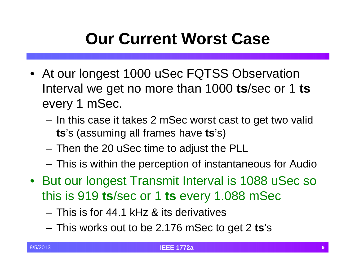# **Our Current Worst Case**

- At our longest 1000 uSec FQTSS Observation **I**nterval we get no more than 1000  $\textbf{ts}/\textbf{sec}$  or 1  $\textbf{ts}$ every 1 mSec.
	- $-$  In this case it takes 2 mSec worst cast to get two valid **ts**'s (assuming all frames have **ts**'s)
	- $-$  Then the 20 uSec time to adjust the PLL  $\,$
	- –This is within the perception of instantaneous for Audio
- But our longest Transmit Interval is 1088 uSec so this is 919 **ts**/sec or 1 **ts** every 1.088 mSec
	- This is for 44.1 kHz & its derivatives
	- This works out to be 2.176 mSec to get 2 **ts**'s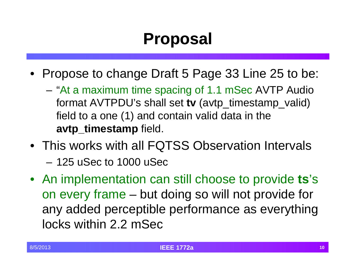# **Proposal**

- Propose to change Draft 5 Page 33 Line 25 to be:
	- "At a maximum time spacing of 1.1 mSec AVTP Audio format AVTPDU's shall set **tv** (avtp\_timestamp\_valid) field to a one  $(1)$  and contain valid data in the **avtp\_timestamp** field.
- This works with all FQTSS Observation Intervals
	- 125 uSec to 1000 uSec
- An implementation can still choose to provide **ts**'s on every frame – but doing so will not provide for any added perceptible performance as everything locks within 2.2 mSec